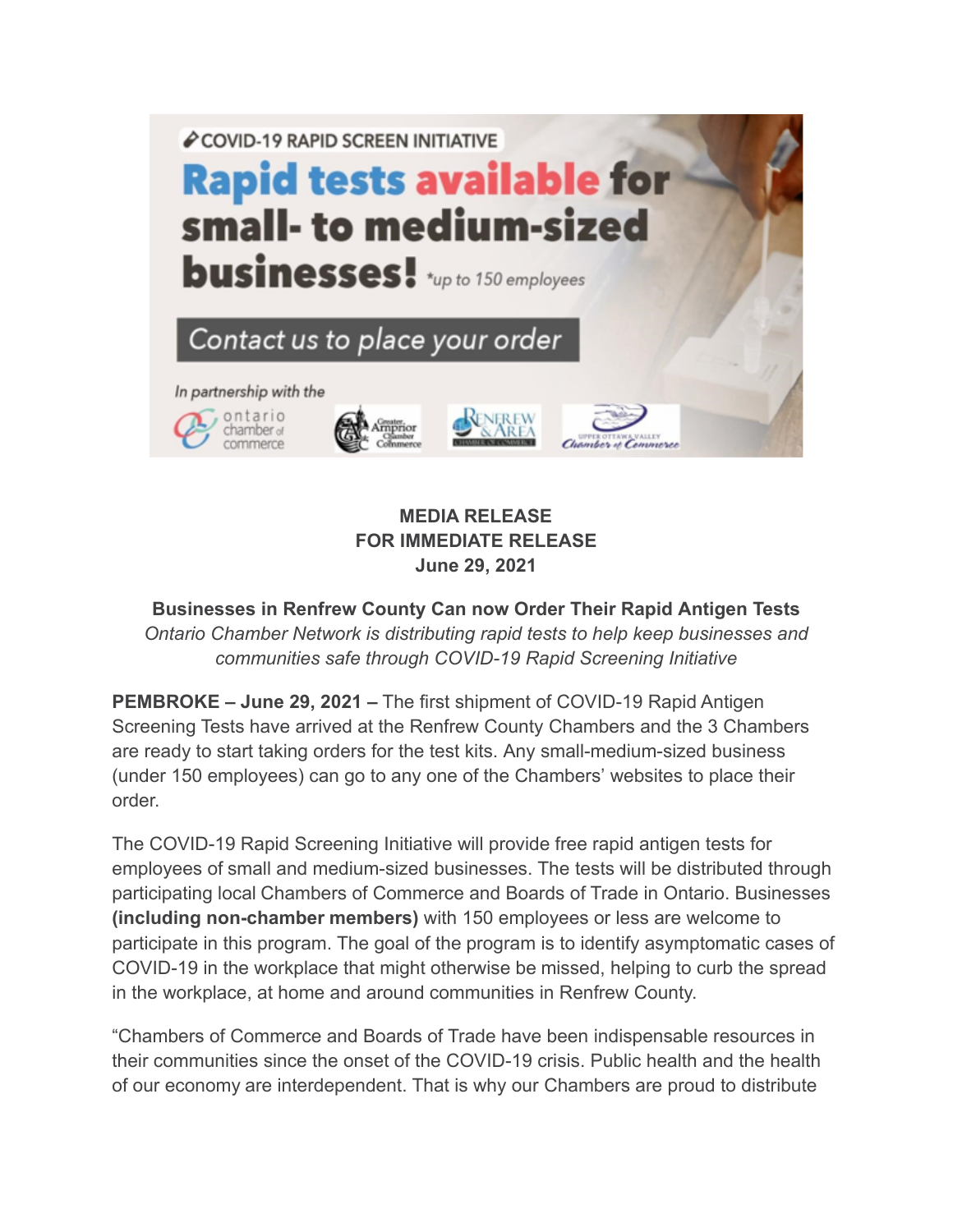

## **MEDIA RELEASE FOR IMMEDIATE RELEASE June 29, 2021**

**Businesses in Renfrew County Can now Order Their Rapid Antigen Tests** *Ontario Chamber Network is distributing rapid tests to help keep businesses and communities safe through COVID-19 Rapid Screening Initiative*

**PEMBROKE – June 29, 2021 –** The first shipment of COVID-19 Rapid Antigen Screening Tests have arrived at the Renfrew County Chambers and the 3 Chambers are ready to start taking orders for the test kits. Any small-medium-sized business (under 150 employees) can go to any one of the Chambers' websites to place their order.

The COVID-19 Rapid Screening Initiative will provide free rapid antigen tests for employees of small and medium-sized businesses. The tests will be distributed through participating local Chambers of Commerce and Boards of Trade in Ontario. Businesses **(including non-chamber members)** with 150 employees or less are welcome to participate in this program. The goal of the program is to identify asymptomatic cases of COVID-19 in the workplace that might otherwise be missed, helping to curb the spread in the workplace, at home and around communities in Renfrew County.

"Chambers of Commerce and Boards of Trade have been indispensable resources in their communities since the onset of the COVID-19 crisis. Public health and the health of our economy are interdependent. That is why our Chambers are proud to distribute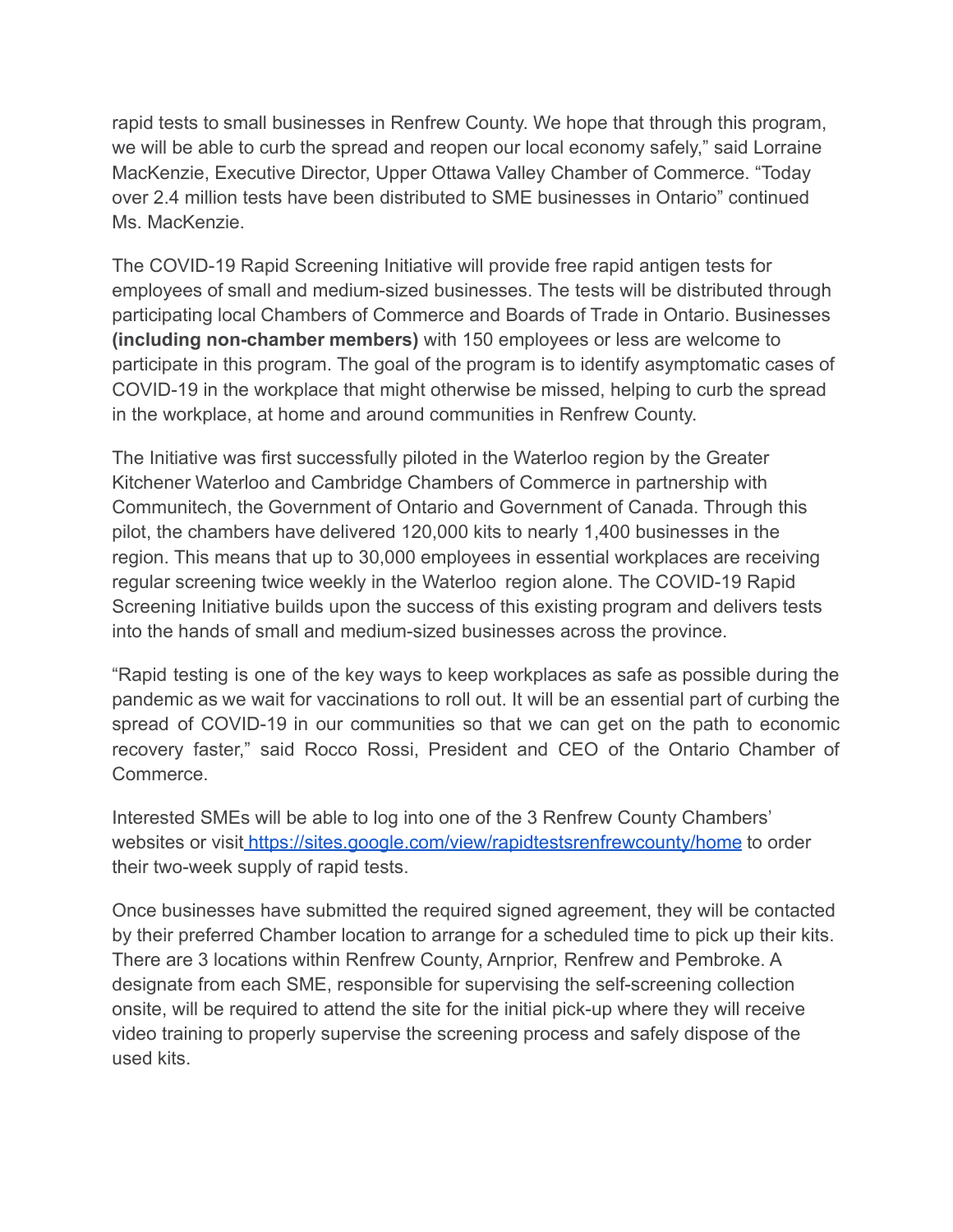rapid tests to small businesses in Renfrew County. We hope that through this program, we will be able to curb the spread and reopen our local economy safely," said Lorraine MacKenzie, Executive Director, Upper Ottawa Valley Chamber of Commerce. "Today over 2.4 million tests have been distributed to SME businesses in Ontario" continued Ms. MacKenzie.

The COVID-19 Rapid Screening Initiative will provide free rapid antigen tests for employees of small and medium-sized businesses. The tests will be distributed through participating local Chambers of Commerce and Boards of Trade in Ontario. Businesses **(including non-chamber members)** with 150 employees or less are welcome to participate in this program. The goal of the program is to identify asymptomatic cases of COVID-19 in the workplace that might otherwise be missed, helping to curb the spread in the workplace, at home and around communities in Renfrew County.

The Initiative was first successfully piloted in the Waterloo region by the Greater Kitchener Waterloo and Cambridge Chambers of Commerce in partnership with Communitech, the Government of Ontario and Government of Canada. Through this pilot, the chambers have delivered 120,000 kits to nearly 1,400 businesses in the region. This means that up to 30,000 employees in essential workplaces are receiving regular screening twice weekly in the Waterloo region alone. The COVID-19 Rapid Screening Initiative builds upon the success of this existing program and delivers tests into the hands of small and medium-sized businesses across the province.

"Rapid testing is one of the key ways to keep workplaces as safe as possible during the pandemic as we wait for vaccinations to roll out. It will be an essential part of curbing the spread of COVID-19 in our communities so that we can get on the path to economic recovery faster," said Rocco Rossi, President and CEO of the Ontario Chamber of Commerce.

Interested SMEs will be able to log into one of the 3 Renfrew County Chambers' websites or visit <https://sites.google.com/view/rapidtestsrenfrewcounty/home> to order their two-week supply of rapid tests.

Once businesses have submitted the required signed agreement, they will be contacted by their preferred Chamber location to arrange for a scheduled time to pick up their kits. There are 3 locations within Renfrew County, Arnprior, Renfrew and Pembroke. A designate from each SME, responsible for supervising the self-screening collection onsite, will be required to attend the site for the initial pick-up where they will receive video training to properly supervise the screening process and safely dispose of the used kits.